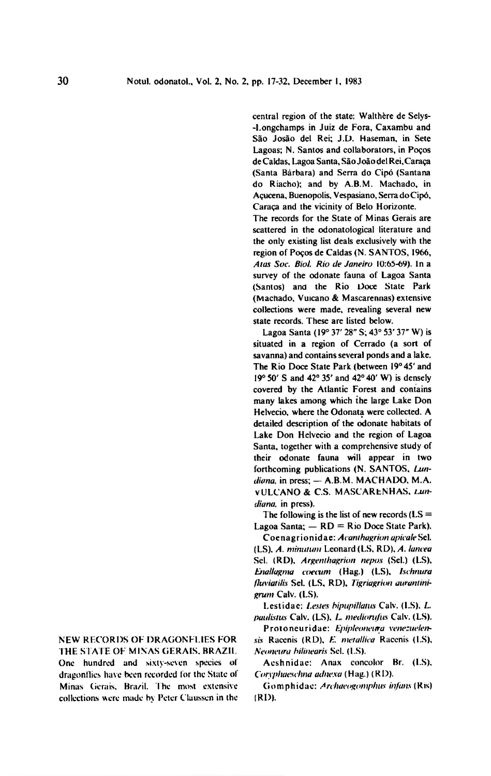central region of the state: Walthere de Selys- -I.ongchamps in Juiz de Fora, Caxambu and Sao Josao del Rei; J.D. Haseman, in Sete Lagoas; N. Santos and collaborators, in Pogos de Caldas, Lagoa Santa, Sao Joao del Rei, Caraga (Santa Barbara) and Serra do Cipo (Santana do Riacho); and by A.B.M. Machado, in Agucena, Buenopolis.Vespasiano, Serra doCipo, Caraga and the vicinity of Belo Horizonte.

The records for the State of Minas Gerais are scattered in the odonatological literature and the only existing list deals exclusively with the region of Pogos de Caldas (N. SANTOS, 1966, Alas Soc. Biol. Rio de Janeiro 10:65-69). In <sup>a</sup> survey of the odonate fauna of Lagoa Santa (Santos) and the Rio Doce State Park (Machado, Vuicano & Mascarennas) extensive collections were made, revealing several new state records. These are listed below.

Lagoa Santa (19° 37' 28" S; 43° 53' 37" W) is situated in <sup>a</sup> region of Cerrado (a sort of savanna) and contains several ponds and a lake. The Rio Doce State Park (between 19°45' and 19° 50' S and 42° 35' and 42° 40' W) is densely covered by the Atlantic Forest and contains many lakes among which the large Lake Don Helvecio, where the Odonata were collected. A detailed description of the odonate habitats of Lake Don Helvecio and the region of Lagoa Santa, together with <sup>a</sup> comprehensive study of their odonate fauna will appear in two detailed description of the odonate habitats of<br>Lake Don Helvecio and the region of Lagoa<br>Santa, together with a comprehensive study of<br>their odonate fauna will appear in two<br>forthcoming publications (N. SANTOS, *Lun-<br>dian* vULCANO & C.S. MASCARENHAS, diana, in press).

The following is the list of new records  $(LS =$ Lagoa Santa;  $-$  RD = Rio Doce State Park).

Coenagrionidae:Acanthagrionapicale Sci. (LS), A. minutum Leonard (LS, RD), A. lancea Sel. (RD), Argenthagrion nepos (Sel.) (LS), Enallagma coecum (Hag.) (LS), Ischnura fluviatilis Sel. (LS, RD), Tigriagrion aurantinigrum Calv. (LS).

Lestidac: Lestes bipupillatus Calv. (LS). L. paulistus Calv. (LS). L. mediorufus Calv. (LS)

Proloneuridae: Epipleoneura venezuelensis Racenis (RD), E. metallica Racenis (LS), Neoneura bilinearis Sel. (LS).

Aeshnidae: Anax concolor Br. (LS). Coryphaeschna adnexa (Hag.) (RD).

Gomphidae: Archaeogomphus infans (Ris) (RD).

New records of dragonflies for the state of Minas Gerais, Brazil One hundred and sixty-seven species of

dragonflies have been recorded for the State of Minas Gerais. Brazil. The most extensive collections were made by Peter Claussen in the